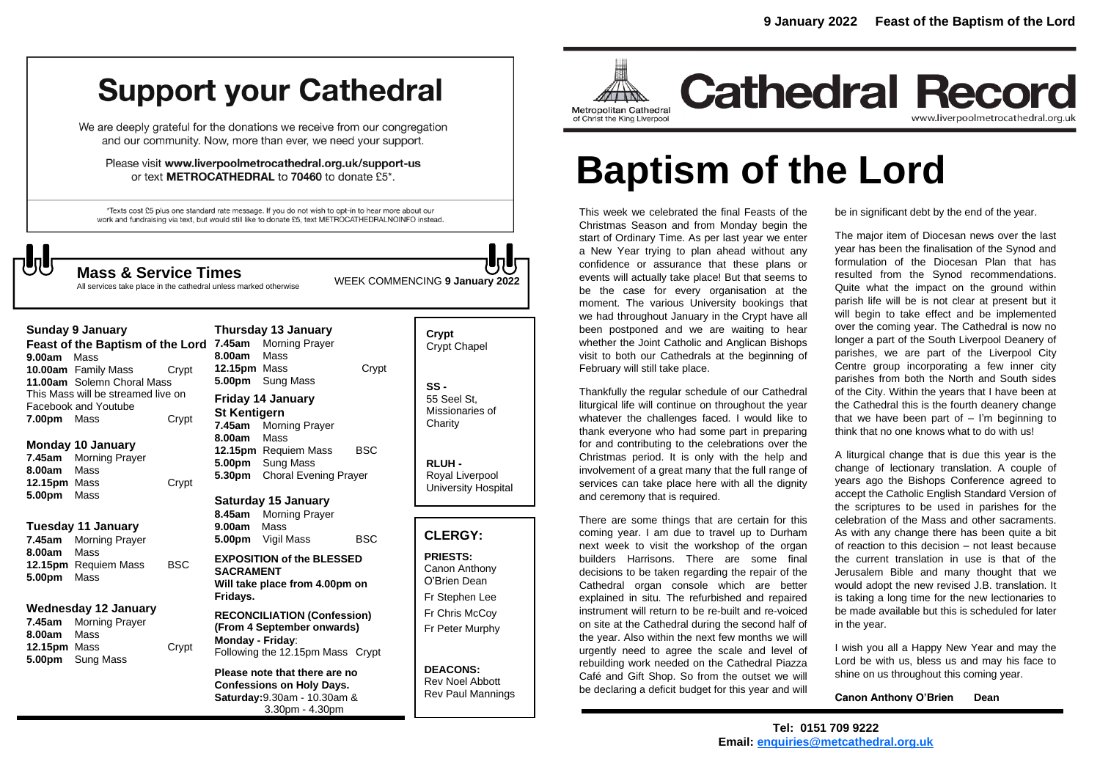# **Support your Cathedral**

We are deeply grateful for the donations we receive from our congregation and our community. Now, more than ever, we need your support.

Please visit www.liverpoolmetrocathedral.org.uk/support-us or text METROCATHEDRAL to 70460 to donate £5\*.

\*Texts cost £5 plus one standard rate message. If you do not wish to opt-in to hear more about our work and fundraising via text, but would still like to donate £5, text METROCATHEDRALNOINFO instead.

WEEK COMMENCING **<sup>9</sup> January 2022 Mass & Service Times**

All services take place in the cathedral unless marked otherwise

| 9.00am                                                                                                           | <b>Sunday 9 January</b><br>Feast of the Baptism of the Lord<br>Mass<br><b>10.00am</b> Family Mass<br>11.00am Solemn Choral Mass  | Crypt      | 7.45am<br>8.00am<br>12.15pm Mass<br>5.00pm                                                                               | Thursday 13 January<br><b>Morning Prayer</b><br>Mass<br>Sung Mass         | Crypt      |
|------------------------------------------------------------------------------------------------------------------|----------------------------------------------------------------------------------------------------------------------------------|------------|--------------------------------------------------------------------------------------------------------------------------|---------------------------------------------------------------------------|------------|
| 7.00pm Mass                                                                                                      | This Mass will be streamed live on<br>Facebook and Youtube                                                                       | Crypt      | <b>St Kentigern</b><br>7.45am                                                                                            | Friday 14 January<br>Morning Prayer                                       |            |
| 7.45am<br>8.00am                                                                                                 | <b>Monday 10 January</b><br><b>Morning Prayer</b><br>Mass<br>12.15pm Mass<br>Mass<br>Tuesday 11 January<br><b>Morning Prayer</b> | Crypt      | 8.00am<br>5.00pm<br>5.30pm                                                                                               | Mass<br>12.15pm Requiem Mass<br>Sung Mass<br><b>Choral Evening Prayer</b> | <b>BSC</b> |
| 5.00pm<br>7.45am                                                                                                 |                                                                                                                                  |            | 8.45am<br>9.00am<br>5.00pm                                                                                               | Saturday 15 January<br><b>Morning Prayer</b><br>Mass<br>Vigil Mass        | <b>BSC</b> |
| 8.00am<br>5.00pm                                                                                                 | Mass<br>12.15pm Requiem Mass<br>Mass                                                                                             | <b>BSC</b> | <b>SACRAMENT</b><br>Fridays.                                                                                             | <b>EXPOSITION of the BLESSED</b><br>Will take place from 4.00pm on        |            |
| Wednesday 12 January<br><b>Morning Prayer</b><br>7.45am<br>8.00am<br>Mass<br>12.15pm Mass<br>5.00pm<br>Sung Mass |                                                                                                                                  | Crypt      | <b>RECONCILIATION (Confession)</b><br>(From 4 September onwards)<br>Monday - Friday:<br>Following the 12.15pm Mass Crypt |                                                                           |            |
|                                                                                                                  |                                                                                                                                  |            | Please note that there are no<br><b>Confessions on Holy Days.</b>                                                        |                                                                           |            |

|                | uay to January               |       |  |  |  |
|----------------|------------------------------|-------|--|--|--|
| ١              | <b>Morning Prayer</b>        |       |  |  |  |
| ١              | Mass                         |       |  |  |  |
|                | m Mass                       | Crypt |  |  |  |
| າ              | <b>Sung Mass</b>             |       |  |  |  |
|                | / 14 January                 |       |  |  |  |
| ntigern        |                              |       |  |  |  |
| ı.             | <b>Morning Prayer</b>        |       |  |  |  |
| ١              | Mass                         |       |  |  |  |
|                | m Requiem Mass               | BSC   |  |  |  |
| າ              | <b>Sung Mass</b>             |       |  |  |  |
| ٦              | <b>Choral Evening Prayer</b> |       |  |  |  |
| day 15 January |                              |       |  |  |  |
|                |                              |       |  |  |  |
| ١              | <b>Morning Prayer</b>        |       |  |  |  |

**Confessions on Holy Days. Saturday:**9.30am - 10.30am & 3.30pm - 4.30pm

| Crypt<br><b>Crypt Chapel</b>                      |  |
|---------------------------------------------------|--|
| SS -<br>55 Seel St.<br>Missionaries of<br>Charity |  |

**RLUH -** Royal Liverpool University Hospital

#### **CLERGY:**

**PRIESTS:** Canon Anthony O'Brien *Dean* Fr Stephen Lee Fr Chris McCoy Fr Peter Murphy

**DEACONS:** Rev Noel Abbott Rev Paul Mannings



**Cathedral Record** www.liverpoolmetrocathedral.org.uk

# **Baptism of the Lord**

This week we celebrated the final Feasts of the Christmas Season and from Monday begin the start of Ordinary Time. As per last year we enter a New Year trying to plan ahead without any confidence or assurance that these plans or events will actually take place! But that seems to be the case for every organisation at the moment. The various University bookings that we had throughout January in the Crypt have all been postponed and we are waiting to hear whether the Joint Catholic and Anglican Bishops visit to both our Cathedrals at the beginning of February will still take place.

Thankfully the regular schedule of our Cathedral liturgical life will continue on throughout the year whatever the challenges faced. I would like to thank everyone who had some part in preparing for and contributing to the celebrations over the Christmas period. It is only with the help and involvement of a great many that the full range of services can take place here with all the dignity and ceremony that is required.

There are some things that are certain for this coming year. I am due to travel up to Durham next week to visit the workshop of the organ builders Harrisons. There are some final decisions to be taken regarding the repair of the Cathedral organ console which are better explained in situ. The refurbished and repaired instrument will return to be re-built and re-voiced on site at the Cathedral during the second half of the year. Also within the next few months we will urgently need to agree the scale and level of rebuilding work needed on the Cathedral Piazza Café and Gift Shop. So from the outset we will be declaring a deficit budget for this year and will

be in significant debt by the end of the year.

The major item of Diocesan news over the last year has been the finalisation of the Synod and formulation of the Diocesan Plan that has resulted from the Synod recommendations. Quite what the impact on the ground within parish life will be is not clear at present but it will begin to take effect and be implemented over the coming year. The Cathedral is now no longer a part of the South Liverpool Deanery of parishes, we are part of the Liverpool City Centre group incorporating a few inner city parishes from both the North and South sides of the City. Within the years that I have been at the Cathedral this is the fourth deanery change that we have been part of  $-$  I'm beginning to think that no one knows what to do with us!

A liturgical change that is due this year is the change of lectionary translation. A couple of years ago the Bishops Conference agreed to accept the Catholic English Standard Version of the scriptures to be used in parishes for the celebration of the Mass and other sacraments. As with any change there has been quite a bit of reaction to this decision – not least because the current translation in use is that of the Jerusalem Bible and many thought that we would adopt the new revised J.B. translation. It is taking a long time for the new lectionaries to be made available but this is scheduled for later in the year.

I wish you all a Happy New Year and may the Lord be with us, bless us and may his face to shine on us throughout this coming year.

**Canon Anthony O'Brien Dean**